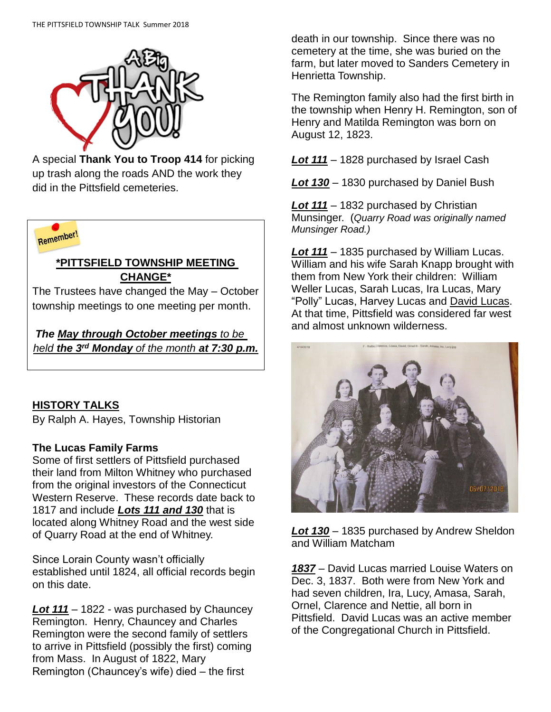

A special **Thank You to Troop 414** for picking up trash along the roads AND the work they did in the Pittsfield cemeteries.



#### **\*PITTSFIELD TOWNSHIP MEETING CHANGE\***

The Trustees have changed the May – October township meetings to one meeting per month.

*The May through October meetings to be held the 3rd Monday of the month at 7:30 p.m.*

# **HISTORY TALKS**

By Ralph A. Hayes, Township Historian

#### **The Lucas Family Farms**

Some of first settlers of Pittsfield purchased their land from Milton Whitney who purchased from the original investors of the Connecticut Western Reserve. These records date back to 1817 and include *Lots 111 and 130* that is located along Whitney Road and the west side of Quarry Road at the end of Whitney.

Since Lorain County wasn't officially established until 1824, all official records begin on this date.

*Lot 111* – 1822 - was purchased by Chauncey Remington. Henry, Chauncey and Charles Remington were the second family of settlers to arrive in Pittsfield (possibly the first) coming from Mass. In August of 1822, Mary Remington (Chauncey's wife) died – the first

death in our township. Since there was no cemetery at the time, she was buried on the farm, but later moved to Sanders Cemetery in Henrietta Township.

The Remington family also had the first birth in the township when Henry H. Remington, son of Henry and Matilda Remington was born on August 12, 1823.

*Lot 111* – 1828 purchased by Israel Cash

*Lot 130* – 1830 purchased by Daniel Bush

*Lot 111* – 1832 purchased by Christian Munsinger. (*Quarry Road was originally named Munsinger Road.)*

*Lot 111* – 1835 purchased by William Lucas. William and his wife Sarah Knapp brought with them from New York their children: William Weller Lucas, Sarah Lucas, Ira Lucas, Mary "Polly" Lucas, Harvey Lucas and David Lucas. At that time, Pittsfield was considered far west and almost unknown wilderness.



*Lot 130* – 1835 purchased by Andrew Sheldon and William Matcham

*1837* – David Lucas married Louise Waters on Dec. 3, 1837. Both were from New York and had seven children, Ira, Lucy, Amasa, Sarah, Ornel, Clarence and Nettie, all born in Pittsfield. David Lucas was an active member of the Congregational Church in Pittsfield.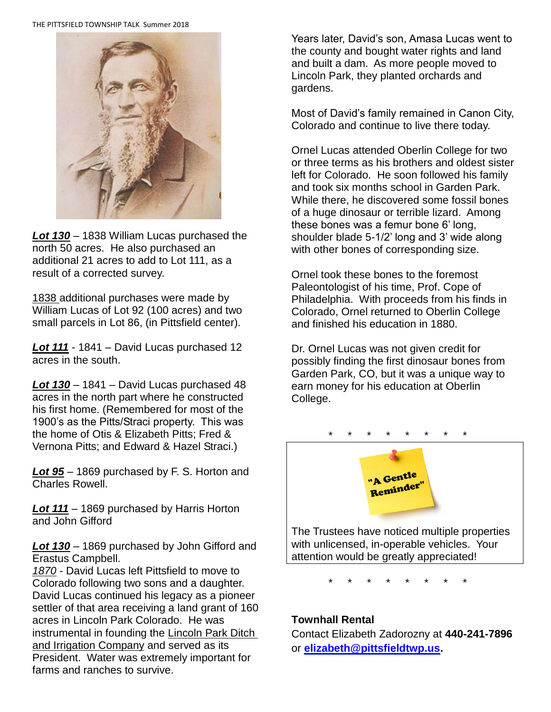THE PITTSFIELD TOWNSHIP TALK Summer 2018



*Lot 130* – 1838 William Lucas purchased the north 50 acres. He also purchased an additional 21 acres to add to Lot 111, as a result of a corrected survey.

1838 additional purchases were made by William Lucas of Lot 92 (100 acres) and two small parcels in Lot 86, (in Pittsfield center).

*Lot 111* - 1841 – David Lucas purchased 12 acres in the south.

*Lot 130* – 1841 – David Lucas purchased 48 acres in the north part where he constructed his first home. (Remembered for most of the 1900's as the Pitts/Straci property. This was the home of Otis & Elizabeth Pitts; Fred & Vernona Pitts; and Edward & Hazel Straci.)

*Lot 95* – 1869 purchased by F. S. Horton and Charles Rowell.

*Lot 111* – 1869 purchased by Harris Horton and John Gifford

*Lot 130* – 1869 purchased by John Gifford and Erastus Campbell.

*1870* - David Lucas left Pittsfield to move to Colorado following two sons and a daughter. David Lucas continued his legacy as a pioneer settler of that area receiving a land grant of 160 acres in Lincoln Park Colorado. He was instrumental in founding the Lincoln Park Ditch and Irrigation Company and served as its President. Water was extremely important for farms and ranches to survive.

Years later, David's son, Amasa Lucas went to the county and bought water rights and land and built a dam. As more people moved to Lincoln Park, they planted orchards and gardens.

Most of David's family remained in Canon City, Colorado and continue to live there today.

Ornel Lucas attended Oberlin College for two or three terms as his brothers and oldest sister left for Colorado. He soon followed his family and took six months school in Garden Park. While there, he discovered some fossil bones of a huge dinosaur or terrible lizard. Among these bones was a femur bone 6' long, shoulder blade 5-1/2' long and 3' wide along with other bones of corresponding size.

Ornel took these bones to the foremost Paleontologist of his time, Prof. Cope of Philadelphia. With proceeds from his finds in Colorado, Ornel returned to Oberlin College and finished his education in 1880.

Dr. Ornel Lucas was not given credit for possibly finding the first dinosaur bones from Garden Park, CO, but it was a unique way to earn money for his education at Oberlin College.



with unlicensed, in-operable vehicles. Your attention would be greatly appreciated!

\* \* \* \* \* \* \* \*

#### **Townhall Rental**

Contact Elizabeth Zadorozny at **440-241-7896** or **[elizabeth@pittsfieldtwp.us.](mailto:elizabeth@pittsfieldtwp.us)**